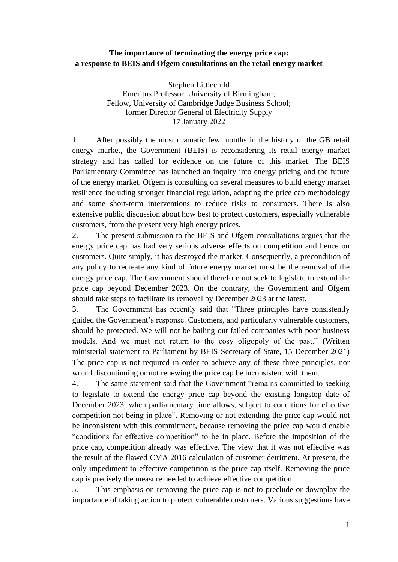# **The importance of terminating the energy price cap: a response to BEIS and Ofgem consultations on the retail energy market**

Stephen Littlechild Emeritus Professor, University of Birmingham; Fellow, University of Cambridge Judge Business School; former Director General of Electricity Supply 17 January 2022

1. After possibly the most dramatic few months in the history of the GB retail energy market, the Government (BEIS) is reconsidering its retail energy market strategy and has called for evidence on the future of this market. The BEIS Parliamentary Committee has launched an inquiry into energy pricing and the future of the energy market. Ofgem is consulting on several measures to build energy market resilience including stronger financial regulation, adapting the price cap methodology and some short-term interventions to reduce risks to consumers. There is also extensive public discussion about how best to protect customers, especially vulnerable customers, from the present very high energy prices.

2. The present submission to the BEIS and Ofgem consultations argues that the energy price cap has had very serious adverse effects on competition and hence on customers. Quite simply, it has destroyed the market. Consequently, a precondition of any policy to recreate any kind of future energy market must be the removal of the energy price cap. The Government should therefore not seek to legislate to extend the price cap beyond December 2023. On the contrary, the Government and Ofgem should take steps to facilitate its removal by December 2023 at the latest.

3. The Government has recently said that "Three principles have consistently guided the Government's response. Customers, and particularly vulnerable customers, should be protected. We will not be bailing out failed companies with poor business models. And we must not return to the cosy oligopoly of the past." (Written ministerial statement to Parliament by BEIS Secretary of State, 15 December 2021) The price cap is not required in order to achieve any of these three principles, nor would discontinuing or not renewing the price cap be inconsistent with them.

4. The same statement said that the Government "remains committed to seeking to legislate to extend the energy price cap beyond the existing longstop date of December 2023, when parliamentary time allows, subject to conditions for effective competition not being in place". Removing or not extending the price cap would not be inconsistent with this commitment, because removing the price cap would enable "conditions for effective competition" to be in place. Before the imposition of the price cap, competition already was effective. The view that it was not effective was the result of the flawed CMA 2016 calculation of customer detriment. At present, the only impediment to effective competition is the price cap itself. Removing the price cap is precisely the measure needed to achieve effective competition.

5. This emphasis on removing the price cap is not to preclude or downplay the importance of taking action to protect vulnerable customers. Various suggestions have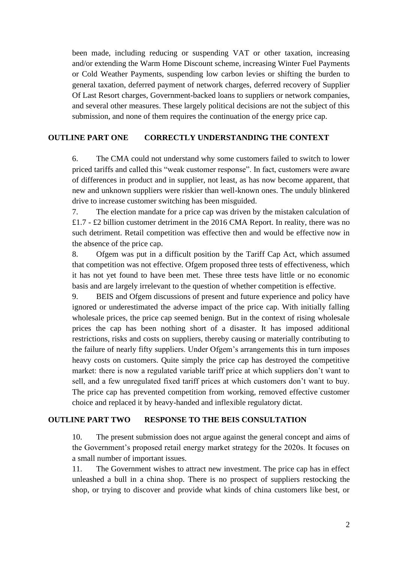been made, including reducing or suspending VAT or other taxation, increasing and/or extending the Warm Home Discount scheme, increasing Winter Fuel Payments or Cold Weather Payments, suspending low carbon levies or shifting the burden to general taxation, deferred payment of network charges, deferred recovery of Supplier Of Last Resort charges, Government-backed loans to suppliers or network companies, and several other measures. These largely political decisions are not the subject of this submission, and none of them requires the continuation of the energy price cap.

## **OUTLINE PART ONE CORRECTLY UNDERSTANDING THE CONTEXT**

6. The CMA could not understand why some customers failed to switch to lower priced tariffs and called this "weak customer response". In fact, customers were aware of differences in product and in supplier, not least, as has now become apparent, that new and unknown suppliers were riskier than well-known ones. The unduly blinkered drive to increase customer switching has been misguided.

7. The election mandate for a price cap was driven by the mistaken calculation of £1.7 - £2 billion customer detriment in the 2016 CMA Report. In reality, there was no such detriment. Retail competition was effective then and would be effective now in the absence of the price cap.

8. Ofgem was put in a difficult position by the Tariff Cap Act, which assumed that competition was not effective. Ofgem proposed three tests of effectiveness, which it has not yet found to have been met. These three tests have little or no economic basis and are largely irrelevant to the question of whether competition is effective.

9. BEIS and Ofgem discussions of present and future experience and policy have ignored or underestimated the adverse impact of the price cap. With initially falling wholesale prices, the price cap seemed benign. But in the context of rising wholesale prices the cap has been nothing short of a disaster. It has imposed additional restrictions, risks and costs on suppliers, thereby causing or materially contributing to the failure of nearly fifty suppliers. Under Ofgem's arrangements this in turn imposes heavy costs on customers. Quite simply the price cap has destroyed the competitive market: there is now a regulated variable tariff price at which suppliers don't want to sell, and a few unregulated fixed tariff prices at which customers don't want to buy. The price cap has prevented competition from working, removed effective customer choice and replaced it by heavy-handed and inflexible regulatory dictat.

### **OUTLINE PART TWO RESPONSE TO THE BEIS CONSULTATION**

10. The present submission does not argue against the general concept and aims of the Government's proposed retail energy market strategy for the 2020s. It focuses on a small number of important issues.

11. The Government wishes to attract new investment. The price cap has in effect unleashed a bull in a china shop. There is no prospect of suppliers restocking the shop, or trying to discover and provide what kinds of china customers like best, or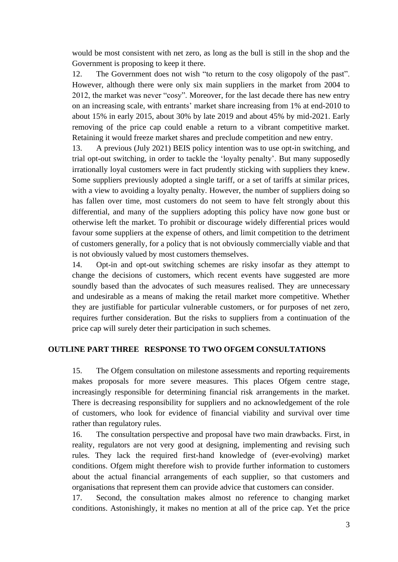would be most consistent with net zero, as long as the bull is still in the shop and the Government is proposing to keep it there.

12. The Government does not wish "to return to the cosy oligopoly of the past". However, although there were only six main suppliers in the market from 2004 to 2012, the market was never "cosy". Moreover, for the last decade there has new entry on an increasing scale, with entrants' market share increasing from 1% at end-2010 to about 15% in early 2015, about 30% by late 2019 and about 45% by mid-2021. Early removing of the price cap could enable a return to a vibrant competitive market. Retaining it would freeze market shares and preclude competition and new entry.

13. A previous (July 2021) BEIS policy intention was to use opt-in switching, and trial opt-out switching, in order to tackle the 'loyalty penalty'. But many supposedly irrationally loyal customers were in fact prudently sticking with suppliers they knew. Some suppliers previously adopted a single tariff, or a set of tariffs at similar prices, with a view to avoiding a loyalty penalty. However, the number of suppliers doing so has fallen over time, most customers do not seem to have felt strongly about this differential, and many of the suppliers adopting this policy have now gone bust or otherwise left the market. To prohibit or discourage widely differential prices would favour some suppliers at the expense of others, and limit competition to the detriment of customers generally, for a policy that is not obviously commercially viable and that is not obviously valued by most customers themselves.

14. Opt-in and opt-out switching schemes are risky insofar as they attempt to change the decisions of customers, which recent events have suggested are more soundly based than the advocates of such measures realised. They are unnecessary and undesirable as a means of making the retail market more competitive. Whether they are justifiable for particular vulnerable customers, or for purposes of net zero, requires further consideration. But the risks to suppliers from a continuation of the price cap will surely deter their participation in such schemes.

## **OUTLINE PART THREE RESPONSE TO TWO OFGEM CONSULTATIONS**

15. The Ofgem consultation on milestone assessments and reporting requirements makes proposals for more severe measures. This places Ofgem centre stage, increasingly responsible for determining financial risk arrangements in the market. There is decreasing responsibility for suppliers and no acknowledgement of the role of customers, who look for evidence of financial viability and survival over time rather than regulatory rules.

16. The consultation perspective and proposal have two main drawbacks. First, in reality, regulators are not very good at designing, implementing and revising such rules. They lack the required first-hand knowledge of (ever-evolving) market conditions. Ofgem might therefore wish to provide further information to customers about the actual financial arrangements of each supplier, so that customers and organisations that represent them can provide advice that customers can consider.

17. Second, the consultation makes almost no reference to changing market conditions. Astonishingly, it makes no mention at all of the price cap. Yet the price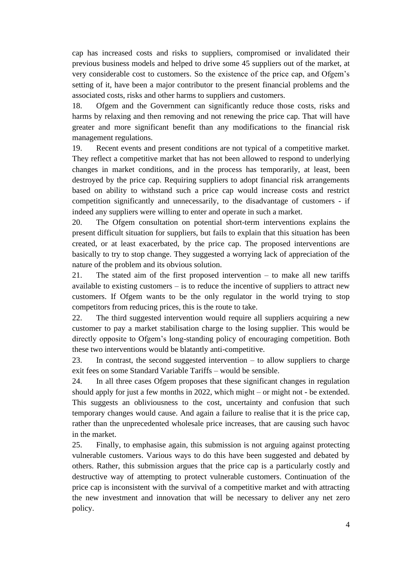cap has increased costs and risks to suppliers, compromised or invalidated their previous business models and helped to drive some 45 suppliers out of the market, at very considerable cost to customers. So the existence of the price cap, and Ofgem's setting of it, have been a major contributor to the present financial problems and the associated costs, risks and other harms to suppliers and customers.

18. Ofgem and the Government can significantly reduce those costs, risks and harms by relaxing and then removing and not renewing the price cap. That will have greater and more significant benefit than any modifications to the financial risk management regulations.

19. Recent events and present conditions are not typical of a competitive market. They reflect a competitive market that has not been allowed to respond to underlying changes in market conditions, and in the process has temporarily, at least, been destroyed by the price cap. Requiring suppliers to adopt financial risk arrangements based on ability to withstand such a price cap would increase costs and restrict competition significantly and unnecessarily, to the disadvantage of customers - if indeed any suppliers were willing to enter and operate in such a market.

20. The Ofgem consultation on potential short-term interventions explains the present difficult situation for suppliers, but fails to explain that this situation has been created, or at least exacerbated, by the price cap. The proposed interventions are basically to try to stop change. They suggested a worrying lack of appreciation of the nature of the problem and its obvious solution.

21. The stated aim of the first proposed intervention – to make all new tariffs available to existing customers – is to reduce the incentive of suppliers to attract new customers. If Ofgem wants to be the only regulator in the world trying to stop competitors from reducing prices, this is the route to take.

22. The third suggested intervention would require all suppliers acquiring a new customer to pay a market stabilisation charge to the losing supplier. This would be directly opposite to Ofgem's long-standing policy of encouraging competition. Both these two interventions would be blatantly anti-competitive.

23. In contrast, the second suggested intervention – to allow suppliers to charge exit fees on some Standard Variable Tariffs – would be sensible.

24. In all three cases Ofgem proposes that these significant changes in regulation should apply for just a few months in 2022, which might – or might not - be extended. This suggests an obliviousness to the cost, uncertainty and confusion that such temporary changes would cause. And again a failure to realise that it is the price cap, rather than the unprecedented wholesale price increases, that are causing such havoc in the market.

25. Finally, to emphasise again, this submission is not arguing against protecting vulnerable customers. Various ways to do this have been suggested and debated by others. Rather, this submission argues that the price cap is a particularly costly and destructive way of attempting to protect vulnerable customers. Continuation of the price cap is inconsistent with the survival of a competitive market and with attracting the new investment and innovation that will be necessary to deliver any net zero policy.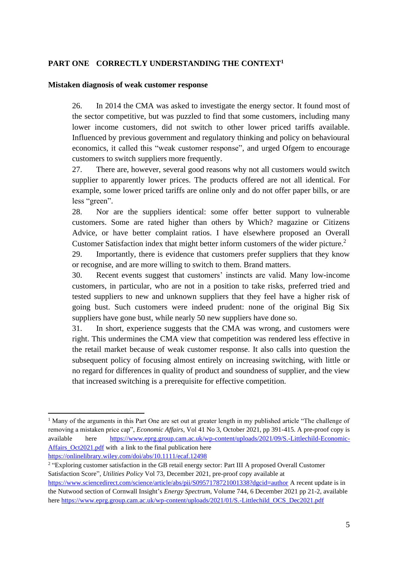## **PART ONE CORRECTLY UNDERSTANDING THE CONTEXT<sup>1</sup>**

#### **Mistaken diagnosis of weak customer response**

26. In 2014 the CMA was asked to investigate the energy sector. It found most of the sector competitive, but was puzzled to find that some customers, including many lower income customers, did not switch to other lower priced tariffs available. Influenced by previous government and regulatory thinking and policy on behavioural economics, it called this "weak customer response", and urged Ofgem to encourage customers to switch suppliers more frequently.

27. There are, however, several good reasons why not all customers would switch supplier to apparently lower prices. The products offered are not all identical. For example, some lower priced tariffs are online only and do not offer paper bills, or are less "green".

28. Nor are the suppliers identical: some offer better support to vulnerable customers. Some are rated higher than others by Which? magazine or Citizens Advice, or have better complaint ratios. I have elsewhere proposed an Overall Customer Satisfaction index that might better inform customers of the wider picture.<sup>2</sup>

29. Importantly, there is evidence that customers prefer suppliers that they know or recognise, and are more willing to switch to them. Brand matters.

30. Recent events suggest that customers' instincts are valid. Many low-income customers, in particular, who are not in a position to take risks, preferred tried and tested suppliers to new and unknown suppliers that they feel have a higher risk of going bust. Such customers were indeed prudent: none of the original Big Six suppliers have gone bust, while nearly 50 new suppliers have done so.

31. In short, experience suggests that the CMA was wrong, and customers were right. This undermines the CMA view that competition was rendered less effective in the retail market because of weak customer response. It also calls into question the subsequent policy of focusing almost entirely on increasing switching, with little or no regard for differences in quality of product and soundness of supplier, and the view that increased switching is a prerequisite for effective competition.

<sup>&</sup>lt;sup>1</sup> Many of the arguments in this Part One are set out at greater length in my published article "The challenge of removing a mistaken price cap", *Economic Affairs*, Vol 41 No 3, October 2021, pp 391-415. A pre-proof copy is available here [https://www.eprg.group.cam.ac.uk/wp-content/uploads/2021/09/S.-Littlechild-Economic-](https://www.eprg.group.cam.ac.uk/wp-content/uploads/2021/09/S.-Littlechild-Economic-Affairs_Oct2021.pdf)Affairs Oct2021.pdf with a link to the final publication here

<https://onlinelibrary.wiley.com/doi/abs/10.1111/ecaf.12498>

<sup>&</sup>lt;sup>2</sup> "Exploring customer satisfaction in the GB retail energy sector: Part III A proposed Overall Customer Satisfaction Score", *Utilities Policy* Vol 73, December 2021, pre-proof copy available at <https://www.sciencedirect.com/science/article/abs/pii/S0957178721001338?dgcid=author> A recent update is in the Nutwood section of Cornwall Insight's *Energy Spectrum*, Volume 744, 6 December 2021 pp 21-2, available her[e https://www.eprg.group.cam.ac.uk/wp-content/uploads/2021/01/S.-Littlechild\\_OCS\\_Dec2021.pdf](https://www.eprg.group.cam.ac.uk/wp-content/uploads/2021/01/S.-Littlechild_OCS_Dec2021.pdf)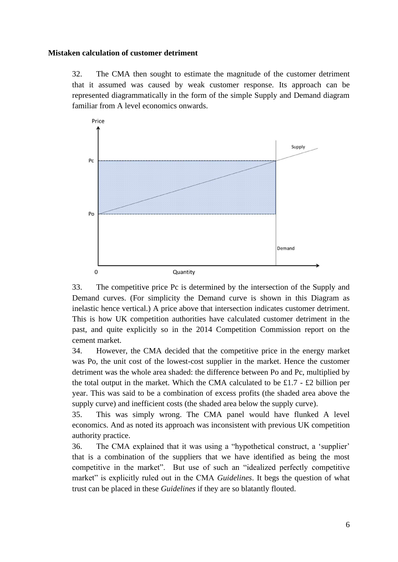#### **Mistaken calculation of customer detriment**

32. The CMA then sought to estimate the magnitude of the customer detriment that it assumed was caused by weak customer response. Its approach can be represented diagrammatically in the form of the simple Supply and Demand diagram familiar from A level economics onwards.



33. The competitive price Pc is determined by the intersection of the Supply and Demand curves. (For simplicity the Demand curve is shown in this Diagram as inelastic hence vertical.) A price above that intersection indicates customer detriment. This is how UK competition authorities have calculated customer detriment in the past, and quite explicitly so in the 2014 Competition Commission report on the cement market.

34. However, the CMA decided that the competitive price in the energy market was Po, the unit cost of the lowest-cost supplier in the market. Hence the customer detriment was the whole area shaded: the difference between Po and Pc, multiplied by the total output in the market. Which the CMA calculated to be £1.7 - £2 billion per year. This was said to be a combination of excess profits (the shaded area above the supply curve) and inefficient costs (the shaded area below the supply curve).

35. This was simply wrong. The CMA panel would have flunked A level economics. And as noted its approach was inconsistent with previous UK competition authority practice.

36. The CMA explained that it was using a "hypothetical construct, a 'supplier' that is a combination of the suppliers that we have identified as being the most competitive in the market". But use of such an "idealized perfectly competitive market" is explicitly ruled out in the CMA *Guidelines*. It begs the question of what trust can be placed in these *Guidelines* if they are so blatantly flouted.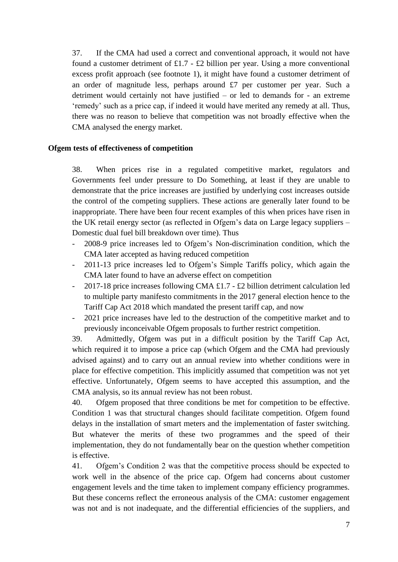37. If the CMA had used a correct and conventional approach, it would not have found a customer detriment of £1.7 - £2 billion per year. Using a more conventional excess profit approach (see footnote 1), it might have found a customer detriment of an order of magnitude less, perhaps around £7 per customer per year. Such a detriment would certainly not have justified – or led to demands for - an extreme 'remedy' such as a price cap, if indeed it would have merited any remedy at all. Thus, there was no reason to believe that competition was not broadly effective when the CMA analysed the energy market.

## **Ofgem tests of effectiveness of competition**

38. When prices rise in a regulated competitive market, regulators and Governments feel under pressure to Do Something, at least if they are unable to demonstrate that the price increases are justified by underlying cost increases outside the control of the competing suppliers. These actions are generally later found to be inappropriate. There have been four recent examples of this when prices have risen in the UK retail energy sector (as reflected in Ofgem's data on Large legacy suppliers – Domestic dual fuel bill breakdown over time). Thus

- 2008-9 price increases led to Ofgem's Non-discrimination condition, which the CMA later accepted as having reduced competition
- 2011-13 price increases led to Ofgem's Simple Tariffs policy, which again the CMA later found to have an adverse effect on competition
- 2017-18 price increases following CMA  $\pounds$ 1.7  $\pounds$ 2 billion detriment calculation led to multiple party manifesto commitments in the 2017 general election hence to the Tariff Cap Act 2018 which mandated the present tariff cap, and now
- 2021 price increases have led to the destruction of the competitive market and to previously inconceivable Ofgem proposals to further restrict competition.

39. Admittedly, Ofgem was put in a difficult position by the Tariff Cap Act, which required it to impose a price cap (which Ofgem and the CMA had previously advised against) and to carry out an annual review into whether conditions were in place for effective competition. This implicitly assumed that competition was not yet effective. Unfortunately, Ofgem seems to have accepted this assumption, and the CMA analysis, so its annual review has not been robust.

40. Ofgem proposed that three conditions be met for competition to be effective. Condition 1 was that structural changes should facilitate competition. Ofgem found delays in the installation of smart meters and the implementation of faster switching. But whatever the merits of these two programmes and the speed of their implementation, they do not fundamentally bear on the question whether competition is effective.

41. Ofgem's Condition 2 was that the competitive process should be expected to work well in the absence of the price cap. Ofgem had concerns about customer engagement levels and the time taken to implement company efficiency programmes. But these concerns reflect the erroneous analysis of the CMA: customer engagement was not and is not inadequate, and the differential efficiencies of the suppliers, and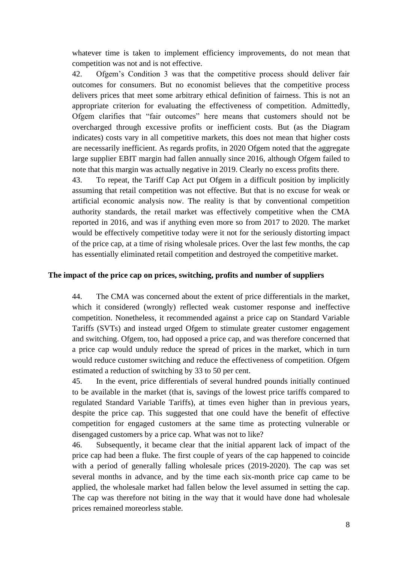whatever time is taken to implement efficiency improvements, do not mean that competition was not and is not effective.

42. Ofgem's Condition 3 was that the competitive process should deliver fair outcomes for consumers. But no economist believes that the competitive process delivers prices that meet some arbitrary ethical definition of fairness. This is not an appropriate criterion for evaluating the effectiveness of competition. Admittedly, Ofgem clarifies that "fair outcomes" here means that customers should not be overcharged through excessive profits or inefficient costs. But (as the Diagram indicates) costs vary in all competitive markets, this does not mean that higher costs are necessarily inefficient. As regards profits, in 2020 Ofgem noted that the aggregate large supplier EBIT margin had fallen annually since 2016, although Ofgem failed to note that this margin was actually negative in 2019. Clearly no excess profits there.

43. To repeat, the Tariff Cap Act put Ofgem in a difficult position by implicitly assuming that retail competition was not effective. But that is no excuse for weak or artificial economic analysis now. The reality is that by conventional competition authority standards, the retail market was effectively competitive when the CMA reported in 2016, and was if anything even more so from 2017 to 2020. The market would be effectively competitive today were it not for the seriously distorting impact of the price cap, at a time of rising wholesale prices. Over the last few months, the cap has essentially eliminated retail competition and destroyed the competitive market.

#### **The impact of the price cap on prices, switching, profits and number of suppliers**

44. The CMA was concerned about the extent of price differentials in the market, which it considered (wrongly) reflected weak customer response and ineffective competition. Nonetheless, it recommended against a price cap on Standard Variable Tariffs (SVTs) and instead urged Ofgem to stimulate greater customer engagement and switching. Ofgem, too, had opposed a price cap, and was therefore concerned that a price cap would unduly reduce the spread of prices in the market, which in turn would reduce customer switching and reduce the effectiveness of competition. Ofgem estimated a reduction of switching by 33 to 50 per cent.

45. In the event, price differentials of several hundred pounds initially continued to be available in the market (that is, savings of the lowest price tariffs compared to regulated Standard Variable Tariffs), at times even higher than in previous years, despite the price cap. This suggested that one could have the benefit of effective competition for engaged customers at the same time as protecting vulnerable or disengaged customers by a price cap. What was not to like?

46. Subsequently, it became clear that the initial apparent lack of impact of the price cap had been a fluke. The first couple of years of the cap happened to coincide with a period of generally falling wholesale prices (2019-2020). The cap was set several months in advance, and by the time each six-month price cap came to be applied, the wholesale market had fallen below the level assumed in setting the cap. The cap was therefore not biting in the way that it would have done had wholesale prices remained moreorless stable.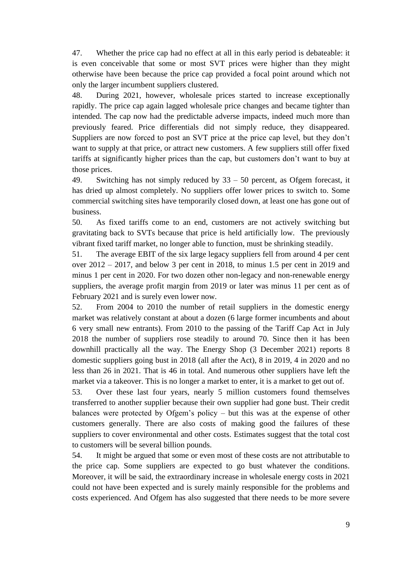47. Whether the price cap had no effect at all in this early period is debateable: it is even conceivable that some or most SVT prices were higher than they might otherwise have been because the price cap provided a focal point around which not only the larger incumbent suppliers clustered.

48. During 2021, however, wholesale prices started to increase exceptionally rapidly. The price cap again lagged wholesale price changes and became tighter than intended. The cap now had the predictable adverse impacts, indeed much more than previously feared. Price differentials did not simply reduce, they disappeared. Suppliers are now forced to post an SVT price at the price cap level, but they don't want to supply at that price, or attract new customers. A few suppliers still offer fixed tariffs at significantly higher prices than the cap, but customers don't want to buy at those prices.

49. Switching has not simply reduced by 33 – 50 percent, as Ofgem forecast, it has dried up almost completely. No suppliers offer lower prices to switch to. Some commercial switching sites have temporarily closed down, at least one has gone out of business.

50. As fixed tariffs come to an end, customers are not actively switching but gravitating back to SVTs because that price is held artificially low. The previously vibrant fixed tariff market, no longer able to function, must be shrinking steadily.

51. The average EBIT of the six large legacy suppliers fell from around 4 per cent over 2012 – 2017, and below 3 per cent in 2018, to minus 1.5 per cent in 2019 and minus 1 per cent in 2020. For two dozen other non-legacy and non-renewable energy suppliers, the average profit margin from 2019 or later was minus 11 per cent as of February 2021 and is surely even lower now.

52. From 2004 to 2010 the number of retail suppliers in the domestic energy market was relatively constant at about a dozen (6 large former incumbents and about 6 very small new entrants). From 2010 to the passing of the Tariff Cap Act in July 2018 the number of suppliers rose steadily to around 70. Since then it has been downhill practically all the way. The Energy Shop (3 December 2021) reports 8 domestic suppliers going bust in 2018 (all after the Act), 8 in 2019, 4 in 2020 and no less than 26 in 2021. That is 46 in total. And numerous other suppliers have left the market via a takeover. This is no longer a market to enter, it is a market to get out of.

53. Over these last four years, nearly 5 million customers found themselves transferred to another supplier because their own supplier had gone bust. Their credit balances were protected by Ofgem's policy – but this was at the expense of other customers generally. There are also costs of making good the failures of these suppliers to cover environmental and other costs. Estimates suggest that the total cost to customers will be several billion pounds.

54. It might be argued that some or even most of these costs are not attributable to the price cap. Some suppliers are expected to go bust whatever the conditions. Moreover, it will be said, the extraordinary increase in wholesale energy costs in 2021 could not have been expected and is surely mainly responsible for the problems and costs experienced. And Ofgem has also suggested that there needs to be more severe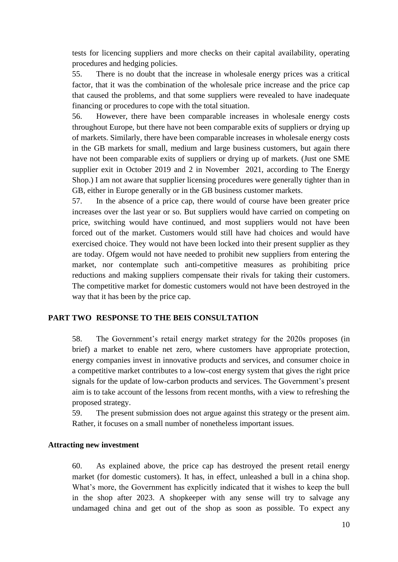tests for licencing suppliers and more checks on their capital availability, operating procedures and hedging policies.

55. There is no doubt that the increase in wholesale energy prices was a critical factor, that it was the combination of the wholesale price increase and the price cap that caused the problems, and that some suppliers were revealed to have inadequate financing or procedures to cope with the total situation.

56. However, there have been comparable increases in wholesale energy costs throughout Europe, but there have not been comparable exits of suppliers or drying up of markets. Similarly, there have been comparable increases in wholesale energy costs in the GB markets for small, medium and large business customers, but again there have not been comparable exits of suppliers or drying up of markets. (Just one SME supplier exit in October 2019 and 2 in November 2021, according to The Energy Shop.) I am not aware that supplier licensing procedures were generally tighter than in GB, either in Europe generally or in the GB business customer markets.

57. In the absence of a price cap, there would of course have been greater price increases over the last year or so. But suppliers would have carried on competing on price, switching would have continued, and most suppliers would not have been forced out of the market. Customers would still have had choices and would have exercised choice. They would not have been locked into their present supplier as they are today. Ofgem would not have needed to prohibit new suppliers from entering the market, nor contemplate such anti-competitive measures as prohibiting price reductions and making suppliers compensate their rivals for taking their customers. The competitive market for domestic customers would not have been destroyed in the way that it has been by the price cap.

## **PART TWO RESPONSE TO THE BEIS CONSULTATION**

58. The Government's retail energy market strategy for the 2020s proposes (in brief) a market to enable net zero, where customers have appropriate protection, energy companies invest in innovative products and services, and consumer choice in a competitive market contributes to a low-cost energy system that gives the right price signals for the update of low-carbon products and services. The Government's present aim is to take account of the lessons from recent months, with a view to refreshing the proposed strategy.

59. The present submission does not argue against this strategy or the present aim. Rather, it focuses on a small number of nonetheless important issues.

### **Attracting new investment**

60. As explained above, the price cap has destroyed the present retail energy market (for domestic customers). It has, in effect, unleashed a bull in a china shop. What's more, the Government has explicitly indicated that it wishes to keep the bull in the shop after 2023. A shopkeeper with any sense will try to salvage any undamaged china and get out of the shop as soon as possible. To expect any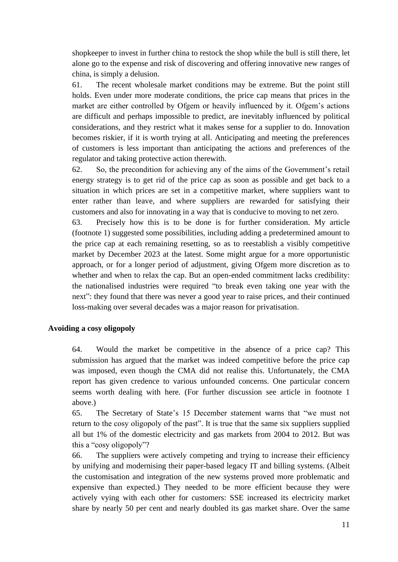shopkeeper to invest in further china to restock the shop while the bull is still there, let alone go to the expense and risk of discovering and offering innovative new ranges of china, is simply a delusion.

61. The recent wholesale market conditions may be extreme. But the point still holds. Even under more moderate conditions, the price cap means that prices in the market are either controlled by Ofgem or heavily influenced by it. Ofgem's actions are difficult and perhaps impossible to predict, are inevitably influenced by political considerations, and they restrict what it makes sense for a supplier to do. Innovation becomes riskier, if it is worth trying at all. Anticipating and meeting the preferences of customers is less important than anticipating the actions and preferences of the regulator and taking protective action therewith.

62. So, the precondition for achieving any of the aims of the Government's retail energy strategy is to get rid of the price cap as soon as possible and get back to a situation in which prices are set in a competitive market, where suppliers want to enter rather than leave, and where suppliers are rewarded for satisfying their customers and also for innovating in a way that is conducive to moving to net zero.

63. Precisely how this is to be done is for further consideration. My article (footnote 1) suggested some possibilities, including adding a predetermined amount to the price cap at each remaining resetting, so as to reestablish a visibly competitive market by December 2023 at the latest. Some might argue for a more opportunistic approach, or for a longer period of adjustment, giving Ofgem more discretion as to whether and when to relax the cap. But an open-ended commitment lacks credibility: the nationalised industries were required "to break even taking one year with the next": they found that there was never a good year to raise prices, and their continued loss-making over several decades was a major reason for privatisation.

#### **Avoiding a cosy oligopoly**

64. Would the market be competitive in the absence of a price cap? This submission has argued that the market was indeed competitive before the price cap was imposed, even though the CMA did not realise this. Unfortunately, the CMA report has given credence to various unfounded concerns. One particular concern seems worth dealing with here. (For further discussion see article in footnote 1 above.)

65. The Secretary of State's 15 December statement warns that "we must not return to the cosy oligopoly of the past". It is true that the same six suppliers supplied all but 1% of the domestic electricity and gas markets from 2004 to 2012. But was this a "cosy oligopoly"?

66. The suppliers were actively competing and trying to increase their efficiency by unifying and modernising their paper-based legacy IT and billing systems. (Albeit the customisation and integration of the new systems proved more problematic and expensive than expected.) They needed to be more efficient because they were actively vying with each other for customers: SSE increased its electricity market share by nearly 50 per cent and nearly doubled its gas market share. Over the same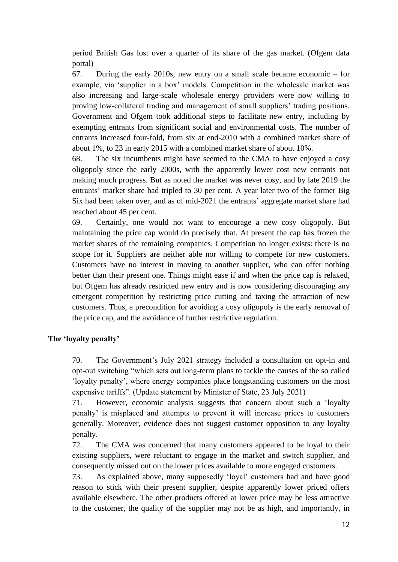period British Gas lost over a quarter of its share of the gas market. (Ofgem data portal)

67. During the early 2010s, new entry on a small scale became economic – for example, via 'supplier in a box' models. Competition in the wholesale market was also increasing and large-scale wholesale energy providers were now willing to proving low-collateral trading and management of small suppliers' trading positions. Government and Ofgem took additional steps to facilitate new entry, including by exempting entrants from significant social and environmental costs. The number of entrants increased four-fold, from six at end-2010 with a combined market share of about 1%, to 23 in early 2015 with a combined market share of about 10%.

68. The six incumbents might have seemed to the CMA to have enjoyed a cosy oligopoly since the early 2000s, with the apparently lower cost new entrants not making much progress. But as noted the market was never cosy, and by late 2019 the entrants' market share had tripled to 30 per cent. A year later two of the former Big Six had been taken over, and as of mid-2021 the entrants' aggregate market share had reached about 45 per cent.

69. Certainly, one would not want to encourage a new cosy oligopoly. But maintaining the price cap would do precisely that. At present the cap has frozen the market shares of the remaining companies. Competition no longer exists: there is no scope for it. Suppliers are neither able nor willing to compete for new customers. Customers have no interest in moving to another supplier, who can offer nothing better than their present one. Things might ease if and when the price cap is relaxed, but Ofgem has already restricted new entry and is now considering discouraging any emergent competition by restricting price cutting and taxing the attraction of new customers. Thus, a precondition for avoiding a cosy oligopoly is the early removal of the price cap, and the avoidance of further restrictive regulation.

## **The 'loyalty penalty'**

70. The Government's July 2021 strategy included a consultation on opt-in and opt-out switching "which sets out long-term plans to tackle the causes of the so called 'loyalty penalty', where energy companies place longstanding customers on the most expensive tariffs". (Update statement by Minister of State, 23 July 2021)

71. However, economic analysis suggests that concern about such a 'loyalty penalty' is misplaced and attempts to prevent it will increase prices to customers generally. Moreover, evidence does not suggest customer opposition to any loyalty penalty.

72. The CMA was concerned that many customers appeared to be loyal to their existing suppliers, were reluctant to engage in the market and switch supplier, and consequently missed out on the lower prices available to more engaged customers.

73. As explained above, many supposedly 'loyal' customers had and have good reason to stick with their present supplier, despite apparently lower priced offers available elsewhere. The other products offered at lower price may be less attractive to the customer, the quality of the supplier may not be as high, and importantly, in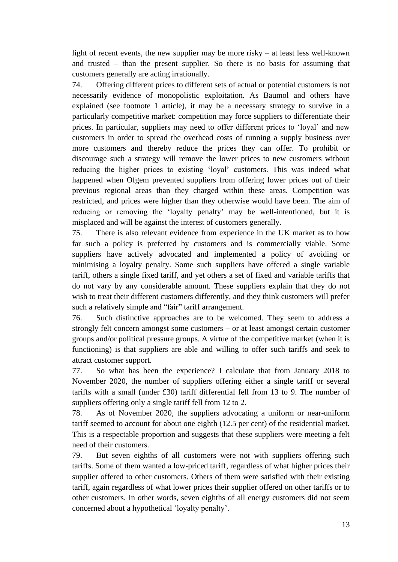light of recent events, the new supplier may be more risky – at least less well-known and trusted – than the present supplier. So there is no basis for assuming that customers generally are acting irrationally.

74. Offering different prices to different sets of actual or potential customers is not necessarily evidence of monopolistic exploitation. As Baumol and others have explained (see footnote 1 article), it may be a necessary strategy to survive in a particularly competitive market: competition may force suppliers to differentiate their prices. In particular, suppliers may need to offer different prices to 'loyal' and new customers in order to spread the overhead costs of running a supply business over more customers and thereby reduce the prices they can offer. To prohibit or discourage such a strategy will remove the lower prices to new customers without reducing the higher prices to existing 'loyal' customers. This was indeed what happened when Ofgem prevented suppliers from offering lower prices out of their previous regional areas than they charged within these areas. Competition was restricted, and prices were higher than they otherwise would have been. The aim of reducing or removing the 'loyalty penalty' may be well-intentioned, but it is misplaced and will be against the interest of customers generally.

75. There is also relevant evidence from experience in the UK market as to how far such a policy is preferred by customers and is commercially viable. Some suppliers have actively advocated and implemented a policy of avoiding or minimising a loyalty penalty. Some such suppliers have offered a single variable tariff, others a single fixed tariff, and yet others a set of fixed and variable tariffs that do not vary by any considerable amount. These suppliers explain that they do not wish to treat their different customers differently, and they think customers will prefer such a relatively simple and "fair" tariff arrangement.

76. Such distinctive approaches are to be welcomed. They seem to address a strongly felt concern amongst some customers – or at least amongst certain customer groups and/or political pressure groups. A virtue of the competitive market (when it is functioning) is that suppliers are able and willing to offer such tariffs and seek to attract customer support.

77. So what has been the experience? I calculate that from January 2018 to November 2020, the number of suppliers offering either a single tariff or several tariffs with a small (under £30) tariff differential fell from 13 to 9. The number of suppliers offering only a single tariff fell from 12 to 2.

78. As of November 2020, the suppliers advocating a uniform or near-uniform tariff seemed to account for about one eighth (12.5 per cent) of the residential market. This is a respectable proportion and suggests that these suppliers were meeting a felt need of their customers.

79. But seven eighths of all customers were not with suppliers offering such tariffs. Some of them wanted a low-priced tariff, regardless of what higher prices their supplier offered to other customers. Others of them were satisfied with their existing tariff, again regardless of what lower prices their supplier offered on other tariffs or to other customers. In other words, seven eighths of all energy customers did not seem concerned about a hypothetical 'loyalty penalty'.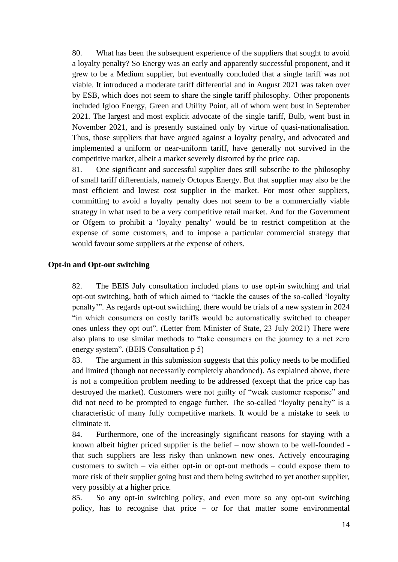80. What has been the subsequent experience of the suppliers that sought to avoid a loyalty penalty? So Energy was an early and apparently successful proponent, and it grew to be a Medium supplier, but eventually concluded that a single tariff was not viable. It introduced a moderate tariff differential and in August 2021 was taken over by ESB, which does not seem to share the single tariff philosophy. Other proponents included Igloo Energy, Green and Utility Point, all of whom went bust in September 2021. The largest and most explicit advocate of the single tariff, Bulb, went bust in November 2021, and is presently sustained only by virtue of quasi-nationalisation. Thus, those suppliers that have argued against a loyalty penalty, and advocated and implemented a uniform or near-uniform tariff, have generally not survived in the competitive market, albeit a market severely distorted by the price cap.

81. One significant and successful supplier does still subscribe to the philosophy of small tariff differentials, namely Octopus Energy. But that supplier may also be the most efficient and lowest cost supplier in the market. For most other suppliers, committing to avoid a loyalty penalty does not seem to be a commercially viable strategy in what used to be a very competitive retail market. And for the Government or Ofgem to prohibit a 'loyalty penalty' would be to restrict competition at the expense of some customers, and to impose a particular commercial strategy that would favour some suppliers at the expense of others.

#### **Opt-in and Opt-out switching**

82. The BEIS July consultation included plans to use opt-in switching and trial opt-out switching, both of which aimed to "tackle the causes of the so-called 'loyalty penalty'". As regards opt-out switching, there would be trials of a new system in 2024 "in which consumers on costly tariffs would be automatically switched to cheaper ones unless they opt out". (Letter from Minister of State, 23 July 2021) There were also plans to use similar methods to "take consumers on the journey to a net zero energy system". (BEIS Consultation p 5)

83. The argument in this submission suggests that this policy needs to be modified and limited (though not necessarily completely abandoned). As explained above, there is not a competition problem needing to be addressed (except that the price cap has destroyed the market). Customers were not guilty of "weak customer response" and did not need to be prompted to engage further. The so-called "loyalty penalty" is a characteristic of many fully competitive markets. It would be a mistake to seek to eliminate it.

84. Furthermore, one of the increasingly significant reasons for staying with a known albeit higher priced supplier is the belief – now shown to be well-founded that such suppliers are less risky than unknown new ones. Actively encouraging customers to switch – via either opt-in or opt-out methods – could expose them to more risk of their supplier going bust and them being switched to yet another supplier, very possibly at a higher price.

85. So any opt-in switching policy, and even more so any opt-out switching policy, has to recognise that price – or for that matter some environmental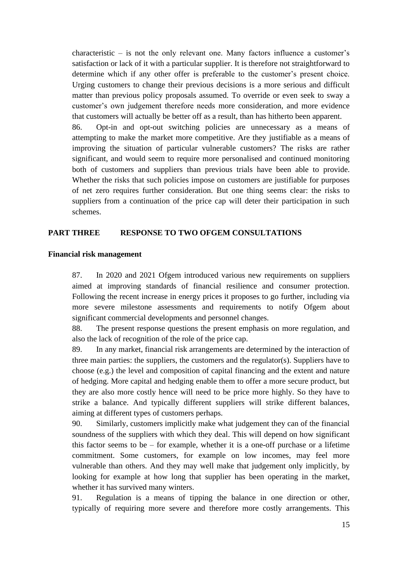characteristic – is not the only relevant one. Many factors influence a customer's satisfaction or lack of it with a particular supplier. It is therefore not straightforward to determine which if any other offer is preferable to the customer's present choice. Urging customers to change their previous decisions is a more serious and difficult matter than previous policy proposals assumed. To override or even seek to sway a customer's own judgement therefore needs more consideration, and more evidence that customers will actually be better off as a result, than has hitherto been apparent.

86. Opt-in and opt-out switching policies are unnecessary as a means of attempting to make the market more competitive. Are they justifiable as a means of improving the situation of particular vulnerable customers? The risks are rather significant, and would seem to require more personalised and continued monitoring both of customers and suppliers than previous trials have been able to provide. Whether the risks that such policies impose on customers are justifiable for purposes of net zero requires further consideration. But one thing seems clear: the risks to suppliers from a continuation of the price cap will deter their participation in such schemes.

# **PART THREE RESPONSE TO TWO OFGEM CONSULTATIONS**

#### **Financial risk management**

87. In 2020 and 2021 Ofgem introduced various new requirements on suppliers aimed at improving standards of financial resilience and consumer protection. Following the recent increase in energy prices it proposes to go further, including via more severe milestone assessments and requirements to notify Ofgem about significant commercial developments and personnel changes.

88. The present response questions the present emphasis on more regulation, and also the lack of recognition of the role of the price cap.

89. In any market, financial risk arrangements are determined by the interaction of three main parties: the suppliers, the customers and the regulator(s). Suppliers have to choose (e.g.) the level and composition of capital financing and the extent and nature of hedging. More capital and hedging enable them to offer a more secure product, but they are also more costly hence will need to be price more highly. So they have to strike a balance. And typically different suppliers will strike different balances, aiming at different types of customers perhaps.

90. Similarly, customers implicitly make what judgement they can of the financial soundness of the suppliers with which they deal. This will depend on how significant this factor seems to be – for example, whether it is a one-off purchase or a lifetime commitment. Some customers, for example on low incomes, may feel more vulnerable than others. And they may well make that judgement only implicitly, by looking for example at how long that supplier has been operating in the market, whether it has survived many winters.

91. Regulation is a means of tipping the balance in one direction or other, typically of requiring more severe and therefore more costly arrangements. This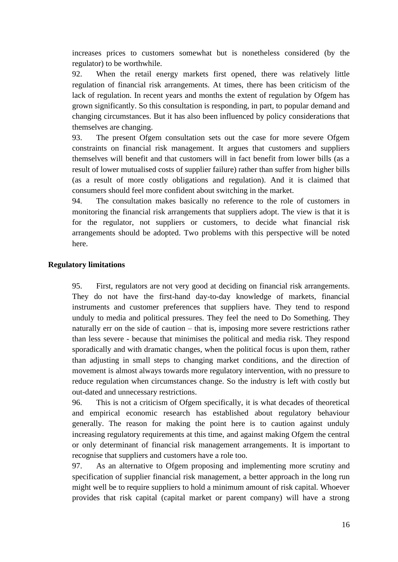increases prices to customers somewhat but is nonetheless considered (by the regulator) to be worthwhile.

92. When the retail energy markets first opened, there was relatively little regulation of financial risk arrangements. At times, there has been criticism of the lack of regulation. In recent years and months the extent of regulation by Ofgem has grown significantly. So this consultation is responding, in part, to popular demand and changing circumstances. But it has also been influenced by policy considerations that themselves are changing.

93. The present Ofgem consultation sets out the case for more severe Ofgem constraints on financial risk management. It argues that customers and suppliers themselves will benefit and that customers will in fact benefit from lower bills (as a result of lower mutualised costs of supplier failure) rather than suffer from higher bills (as a result of more costly obligations and regulation). And it is claimed that consumers should feel more confident about switching in the market.

94. The consultation makes basically no reference to the role of customers in monitoring the financial risk arrangements that suppliers adopt. The view is that it is for the regulator, not suppliers or customers, to decide what financial risk arrangements should be adopted. Two problems with this perspective will be noted here.

#### **Regulatory limitations**

95. First, regulators are not very good at deciding on financial risk arrangements. They do not have the first-hand day-to-day knowledge of markets, financial instruments and customer preferences that suppliers have. They tend to respond unduly to media and political pressures. They feel the need to Do Something. They naturally err on the side of caution – that is, imposing more severe restrictions rather than less severe - because that minimises the political and media risk. They respond sporadically and with dramatic changes, when the political focus is upon them, rather than adjusting in small steps to changing market conditions, and the direction of movement is almost always towards more regulatory intervention, with no pressure to reduce regulation when circumstances change. So the industry is left with costly but out-dated and unnecessary restrictions.

96. This is not a criticism of Ofgem specifically, it is what decades of theoretical and empirical economic research has established about regulatory behaviour generally. The reason for making the point here is to caution against unduly increasing regulatory requirements at this time, and against making Ofgem the central or only determinant of financial risk management arrangements. It is important to recognise that suppliers and customers have a role too.

97. As an alternative to Ofgem proposing and implementing more scrutiny and specification of supplier financial risk management, a better approach in the long run might well be to require suppliers to hold a minimum amount of risk capital. Whoever provides that risk capital (capital market or parent company) will have a strong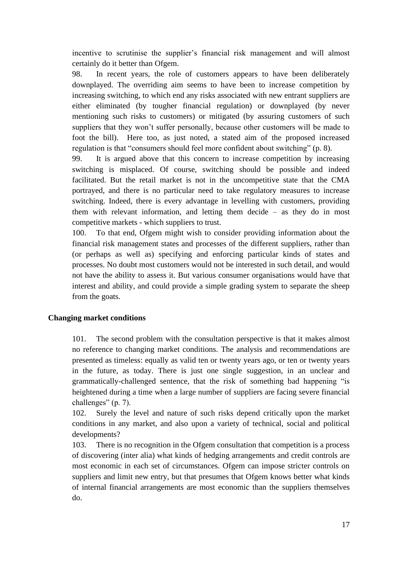incentive to scrutinise the supplier's financial risk management and will almost certainly do it better than Ofgem.

98. In recent years, the role of customers appears to have been deliberately downplayed. The overriding aim seems to have been to increase competition by increasing switching, to which end any risks associated with new entrant suppliers are either eliminated (by tougher financial regulation) or downplayed (by never mentioning such risks to customers) or mitigated (by assuring customers of such suppliers that they won't suffer personally, because other customers will be made to foot the bill). Here too, as just noted, a stated aim of the proposed increased regulation is that "consumers should feel more confident about switching" (p. 8).

99. It is argued above that this concern to increase competition by increasing switching is misplaced. Of course, switching should be possible and indeed facilitated. But the retail market is not in the uncompetitive state that the CMA portrayed, and there is no particular need to take regulatory measures to increase switching. Indeed, there is every advantage in levelling with customers, providing them with relevant information, and letting them decide – as they do in most competitive markets - which suppliers to trust.

100. To that end, Ofgem might wish to consider providing information about the financial risk management states and processes of the different suppliers, rather than (or perhaps as well as) specifying and enforcing particular kinds of states and processes. No doubt most customers would not be interested in such detail, and would not have the ability to assess it. But various consumer organisations would have that interest and ability, and could provide a simple grading system to separate the sheep from the goats.

# **Changing market conditions**

101. The second problem with the consultation perspective is that it makes almost no reference to changing market conditions. The analysis and recommendations are presented as timeless: equally as valid ten or twenty years ago, or ten or twenty years in the future, as today. There is just one single suggestion, in an unclear and grammatically-challenged sentence, that the risk of something bad happening "is heightened during a time when a large number of suppliers are facing severe financial challenges" (p. 7).

102. Surely the level and nature of such risks depend critically upon the market conditions in any market, and also upon a variety of technical, social and political developments?

103. There is no recognition in the Ofgem consultation that competition is a process of discovering (inter alia) what kinds of hedging arrangements and credit controls are most economic in each set of circumstances. Ofgem can impose stricter controls on suppliers and limit new entry, but that presumes that Ofgem knows better what kinds of internal financial arrangements are most economic than the suppliers themselves do.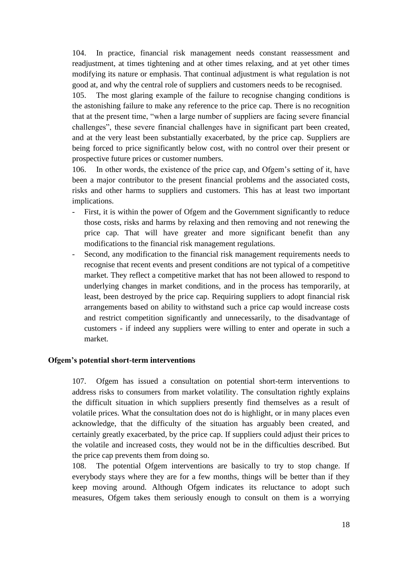104. In practice, financial risk management needs constant reassessment and readjustment, at times tightening and at other times relaxing, and at yet other times modifying its nature or emphasis. That continual adjustment is what regulation is not good at, and why the central role of suppliers and customers needs to be recognised.

105. The most glaring example of the failure to recognise changing conditions is the astonishing failure to make any reference to the price cap. There is no recognition that at the present time, "when a large number of suppliers are facing severe financial challenges", these severe financial challenges have in significant part been created, and at the very least been substantially exacerbated, by the price cap. Suppliers are being forced to price significantly below cost, with no control over their present or prospective future prices or customer numbers.

106. In other words, the existence of the price cap, and Ofgem's setting of it, have been a major contributor to the present financial problems and the associated costs, risks and other harms to suppliers and customers. This has at least two important implications.

- First, it is within the power of Ofgem and the Government significantly to reduce those costs, risks and harms by relaxing and then removing and not renewing the price cap. That will have greater and more significant benefit than any modifications to the financial risk management regulations.
- Second, any modification to the financial risk management requirements needs to recognise that recent events and present conditions are not typical of a competitive market. They reflect a competitive market that has not been allowed to respond to underlying changes in market conditions, and in the process has temporarily, at least, been destroyed by the price cap. Requiring suppliers to adopt financial risk arrangements based on ability to withstand such a price cap would increase costs and restrict competition significantly and unnecessarily, to the disadvantage of customers - if indeed any suppliers were willing to enter and operate in such a market.

## **Ofgem's potential short-term interventions**

107. Ofgem has issued a consultation on potential short-term interventions to address risks to consumers from market volatility. The consultation rightly explains the difficult situation in which suppliers presently find themselves as a result of volatile prices. What the consultation does not do is highlight, or in many places even acknowledge, that the difficulty of the situation has arguably been created, and certainly greatly exacerbated, by the price cap. If suppliers could adjust their prices to the volatile and increased costs, they would not be in the difficulties described. But the price cap prevents them from doing so.

108. The potential Ofgem interventions are basically to try to stop change. If everybody stays where they are for a few months, things will be better than if they keep moving around. Although Ofgem indicates its reluctance to adopt such measures, Ofgem takes them seriously enough to consult on them is a worrying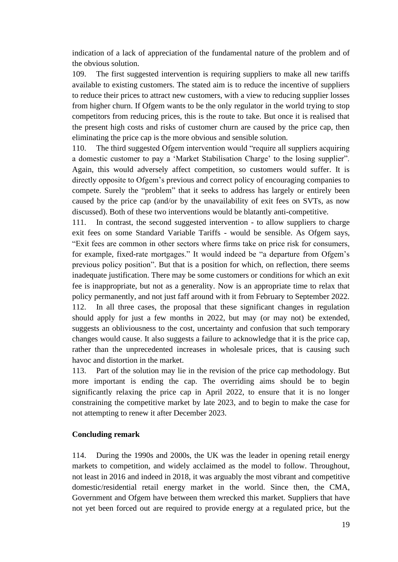indication of a lack of appreciation of the fundamental nature of the problem and of the obvious solution.

109. The first suggested intervention is requiring suppliers to make all new tariffs available to existing customers. The stated aim is to reduce the incentive of suppliers to reduce their prices to attract new customers, with a view to reducing supplier losses from higher churn. If Ofgem wants to be the only regulator in the world trying to stop competitors from reducing prices, this is the route to take. But once it is realised that the present high costs and risks of customer churn are caused by the price cap, then eliminating the price cap is the more obvious and sensible solution.

110. The third suggested Ofgem intervention would "require all suppliers acquiring a domestic customer to pay a 'Market Stabilisation Charge' to the losing supplier". Again, this would adversely affect competition, so customers would suffer. It is directly opposite to Ofgem's previous and correct policy of encouraging companies to compete. Surely the "problem" that it seeks to address has largely or entirely been caused by the price cap (and/or by the unavailability of exit fees on SVTs, as now discussed). Both of these two interventions would be blatantly anti-competitive.

111. In contrast, the second suggested intervention - to allow suppliers to charge exit fees on some Standard Variable Tariffs - would be sensible. As Ofgem says, "Exit fees are common in other sectors where firms take on price risk for consumers, for example, fixed-rate mortgages." It would indeed be "a departure from Ofgem's previous policy position". But that is a position for which, on reflection, there seems inadequate justification. There may be some customers or conditions for which an exit fee is inappropriate, but not as a generality. Now is an appropriate time to relax that policy permanently, and not just faff around with it from February to September 2022. 112. In all three cases, the proposal that these significant changes in regulation should apply for just a few months in 2022, but may (or may not) be extended, suggests an obliviousness to the cost, uncertainty and confusion that such temporary changes would cause. It also suggests a failure to acknowledge that it is the price cap, rather than the unprecedented increases in wholesale prices, that is causing such havoc and distortion in the market.

113. Part of the solution may lie in the revision of the price cap methodology. But more important is ending the cap. The overriding aims should be to begin significantly relaxing the price cap in April 2022, to ensure that it is no longer constraining the competitive market by late 2023, and to begin to make the case for not attempting to renew it after December 2023.

## **Concluding remark**

114. During the 1990s and 2000s, the UK was the leader in opening retail energy markets to competition, and widely acclaimed as the model to follow. Throughout, not least in 2016 and indeed in 2018, it was arguably the most vibrant and competitive domestic/residential retail energy market in the world. Since then, the CMA, Government and Ofgem have between them wrecked this market. Suppliers that have not yet been forced out are required to provide energy at a regulated price, but the